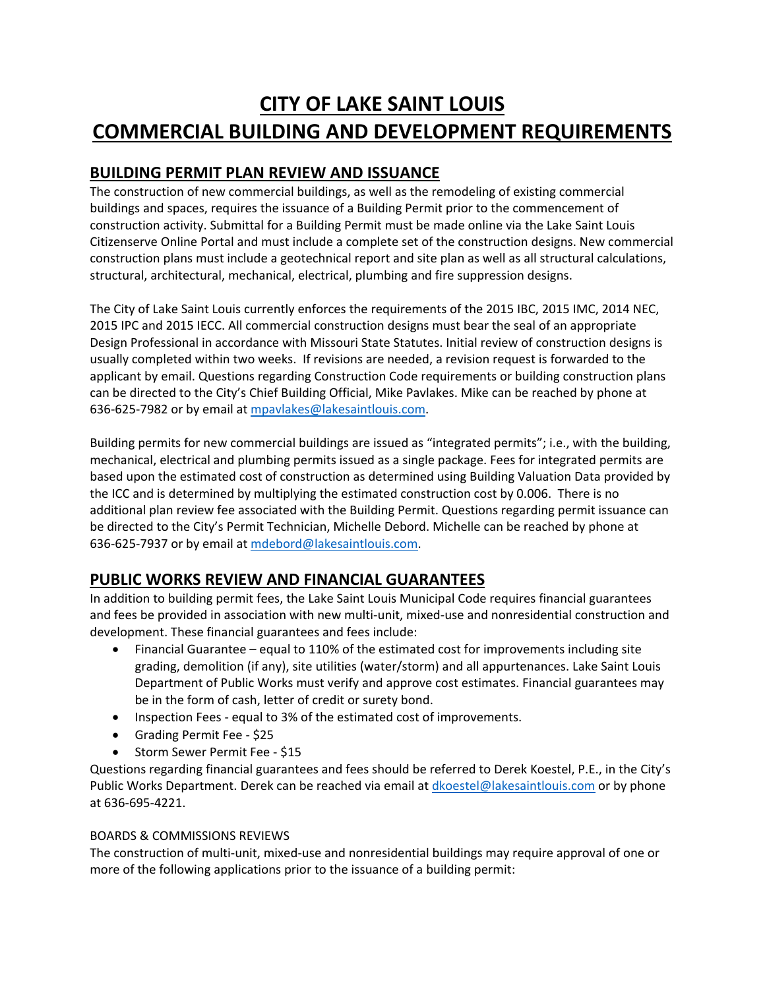## **CITY OF LAKE SAINT LOUIS COMMERCIAL BUILDING AND DEVELOPMENT REQUIREMENTS**

## **BUILDING PERMIT PLAN REVIEW AND ISSUANCE**

The construction of new commercial buildings, as well as the remodeling of existing commercial buildings and spaces, requires the issuance of a Building Permit prior to the commencement of construction activity. Submittal for a Building Permit must be made online via the Lake Saint Louis [Citizenserve Online Portal](https://www.citizenserve.com/Portal/PortalController?Action=showHomePage&ctzPagePrefix=Portal_&installationID=253) and must include a complete set of the construction designs. New commercial construction plans must include a geotechnical report and site plan as well as all structural calculations, structural, architectural, mechanical, electrical, plumbing and fire suppression designs.

The City of Lake Saint Louis currently enforces the requirements of the 2015 IBC, 2015 IMC, 2014 NEC, 2015 IPC and 2015 IECC. All commercial construction designs must bear the seal of an appropriate Design Professional in accordance with Missouri State Statutes. Initial review of construction designs is usually completed within two weeks. If revisions are needed, a revision request is forwarded to the applicant by email. Questions regarding Construction Code requirements or building construction plans can be directed to the City's Chief Building Official, Mike Pavlakes. Mike can be reached by phone at 636-625-7982 or by email at [mpavlakes@lakesaintlouis.com.](mailto:mpavlakes@lakesaintlouis.com)

Building permits for new commercial buildings are issued as "integrated permits"; i.e., with the building, mechanical, electrical and plumbing permits issued as a single package. Fees for integrated permits are based upon the estimated cost of construction as determined using Building Valuation Data provided by the ICC and is determined by multiplying the estimated construction cost by 0.006. There is no additional plan review fee associated with the Building Permit. Questions regarding permit issuance can be directed to the City's Permit Technician, Michelle Debord. Michelle can be reached by phone at 636-625-7937 or by email at [mdebord@lakesaintlouis.com.](mailto:mdebord@lakesaintlouis.com)

## **PUBLIC WORKS REVIEW AND FINANCIAL GUARANTEES**

In addition to building permit fees, the Lake Saint Louis Municipal Code requires financial guarantees and fees be provided in association with new multi-unit, mixed-use and nonresidential construction and development. These financial guarantees and fees include:

- Financial Guarantee equal to 110% of the estimated cost for improvements including site grading, demolition (if any), site utilities (water/storm) and all appurtenances. Lake Saint Louis Department of Public Works must verify and approve cost estimates. Financial guarantees may be in the form of cash, letter of credit or surety bond.
- Inspection Fees equal to 3% of the estimated cost of improvements.
- Grading Permit Fee \$25
- Storm Sewer Permit Fee \$15

Questions regarding financial guarantees and fees should be referred to Derek Koestel, P.E., in the City's Public Works Department. Derek can be reached via email at *dkoestel@lakesaintlouis.com* or by phone at 636-695-4221.

## BOARDS & COMMISSIONS REVIEWS

The construction of multi-unit, mixed-use and nonresidential buildings may require approval of one or more of the following applications prior to the issuance of a building permit: